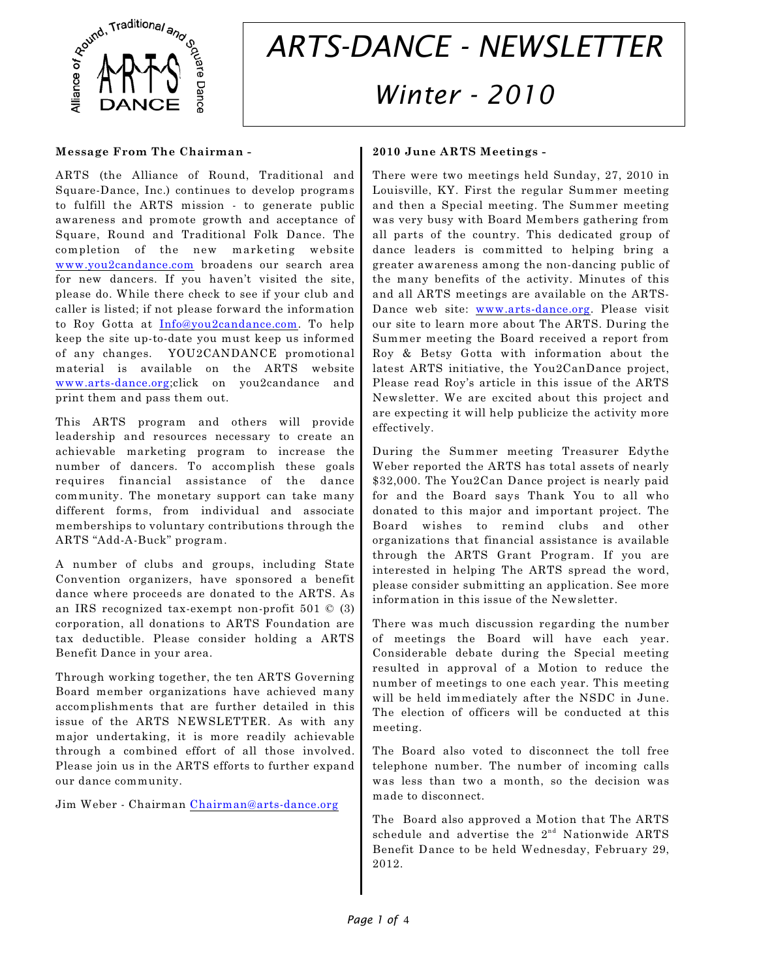

# *ARTS-DANCE - NEWSLETTER Winter - 2010*

#### **Message From The Chairman -**

ARTS (the Alliance of Round, Traditional and Square-Dance, Inc.) continues to develop programs to fulfill the ARTS mission - to generate public awareness and promote growth and acceptance of Square, Round and Traditional Folk Dance. The completion of the new marketing website [www.you2candance.com](http://www.you2candance.com) broadens our search area for new dancers. If you haven't visited the site, please do. While there check to see if your club and caller is listed; if not please forward the information to Roy Gotta at [Info@you2candance.com](mailto:Info@you2candance.com). To help keep the site up-to-date you must keep us informed of any changes. YOU2CANDANCE promotional material is available on the ARTS website [www.arts-dance.org](http://www.arts-dance.org);click on you2candance and print them and pass them out.

This ARTS program and others will provide leadership and resources necessary to create an achievable marketing program to increase the number of dancers. To accomplish these goals requires financial assistance of the dance community. The monetary support can take many different forms, from individual and associate memberships to voluntary contributions through the ARTS "Add-A-Buck" program.

A number of clubs and groups, including State Convention organizers, have sponsored a benefit dance where proceeds are donated to the ARTS. As an IRS recognized tax-exempt non-profit 501 © (3) corporation, all donations to ARTS Foundation are tax deductible. Please consider holding a ARTS Benefit Dance in your area.

Through working together, the ten ARTS Governing Board member organizations have achieved many accomplishments that are further detailed in this issue of the ARTS NEWSLETTER. As with any major undertaking, it is more readily achievable through a combined effort of all those involved. Please join us in the ARTS efforts to further expand our dance community.

Jim Weber - Chairman [Chairman@arts-dance.org](mailto:Chairman@arts-dance.org)

#### **2010 June ARTS Meetings -**

There were two meetings held Sunday, 27, 2010 in Louisville, KY. First the regular Summer meeting and then a Special meeting. The Summer meeting was very busy with Board Members gathering from all parts of the country. This dedicated group of dance leaders is committed to helping bring a greater awareness among the non-dancing public of the many benefits of the activity. Minutes of this and all ARTS meetings are available on the ARTS-Dance web site: [www.arts-dance.org](http://www.arts-dance.org). Please visit our site to learn more about The ARTS. During the Summer meeting the Board received a report from Roy & Betsy Gotta with information about the latest ARTS initiative, the You2CanDance project, Please read Roy's article in this issue of the ARTS Newsletter. We are excited about this project and are expecting it will help publicize the activity more effectively.

During the Summer meeting Treasurer Edythe Weber reported the ARTS has total assets of nearly \$32,000. The You2Can Dance project is nearly paid for and the Board says Thank You to all who donated to this major and important project. The Board wishes to remind clubs and other organizations that financial assistance is available through the ARTS Grant Program. If you are interested in helping The ARTS spread the word, please consider submitting an application. See more information in this issue of the Newsletter.

There was much discussion regarding the number of meetings the Board will have each year. Considerable debate during the Special meeting resulted in approval of a Motion to reduce the number of meetings to one each year. This meeting will be held immediately after the NSDC in June. The election of officers will be conducted at this meeting.

The Board also voted to disconnect the toll free telephone number. The number of incoming calls was less than two a month, so the decision was made to disconnect.

The Board also approved a Motion that The ARTS schedule and advertise the  $2<sup>nd</sup>$  Nationwide ARTS Benefit Dance to be held Wednesday, February 29, 2012.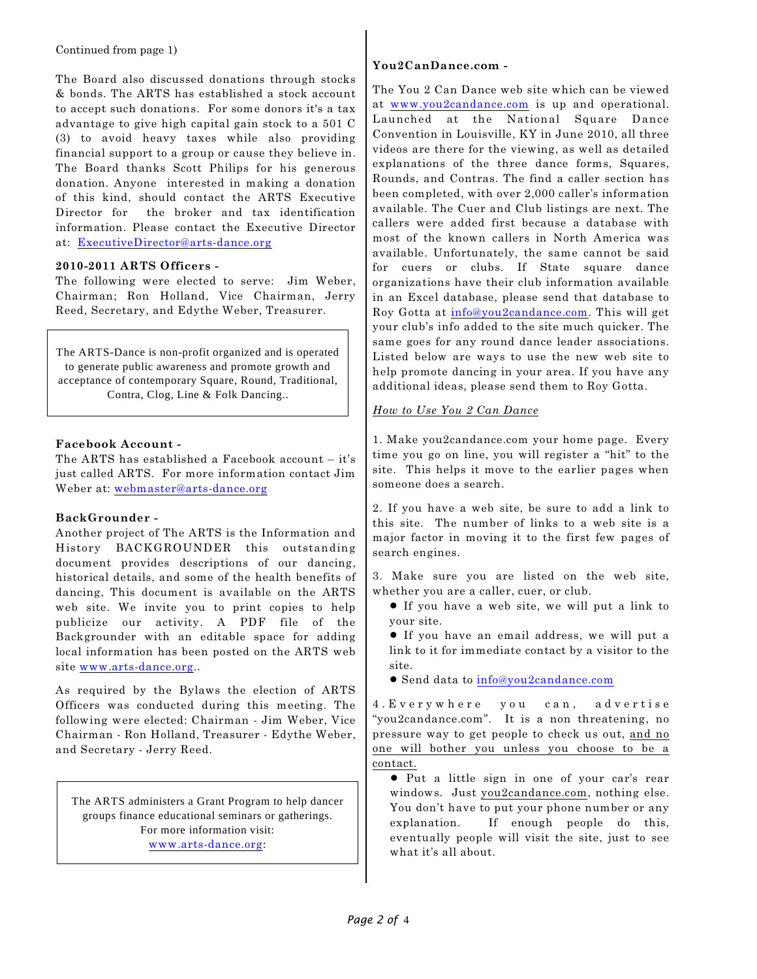Continued from page 1)

The Board also discussed donations through stocks & bonds. The ARTS has established a stock account to accept such donations. For some donors it's a tax advantage to give high capital gain stock to a 501 C (3) to avoid heavy taxes while also providing financial support to a group or cause they believe in. The Board thanks Scott Philips for his generous donation. Anyone interested in making a donation of this kind, should contact the ARTS Executive Director for the broker and tax identification information. Please contact the Executive Director at: [ExecutiveDirector@arts-dance.org](mailto:ExecutiveDirector@arts-dance.org)

## **2010-2011 ARTS Officers -**

The following were elected to serve: Jim Weber, Chairman; Ron Holland, Vice Chairman, Jerry Reed, Secretary, and Edythe Weber, Treasurer.

The ARTS-Dance is non-profit organized and is operated to generate public awareness and promote growth and acceptance of contemporary Square, Round, Traditional, Contra, Clog, Line & Folk Dancing..

### **Facebook Account -**

The ARTS has established a Facebook account – it's just called ARTS. For more information contact Jim Weber at: [webmaster@arts-dance.org](mailto:webmaster@arts-dance.org)

## **BackGrounder -**

Another project of The ARTS is the Information and History BACKGROUNDER this outstanding document provides descriptions of our dancing, historical details, and some of the health benefits of dancing, This document is available on the ARTS web site. We invite you to print copies to help publicize our activity. A PDF file of the Backgrounder with an editable space for adding local information has been posted on the ARTS web site [www.arts-dance.org](http://www.arts-dance.org)..

As required by the Bylaws the election of ARTS Officers was conducted during this meeting. The following were elected: Chairman - Jim Weber, Vice Chairman - Ron Holland, Treasurer - Edythe Weber, and Secretary - Jerry Reed.

The ARTS administers a Grant Program to help dancer groups finance educational seminars or gatherings. For more information visit: [www.arts-dance.org](http://www.arts-dance.org):

## **You2CanDance.com -**

The You 2 Can Dance web site which can be viewed at www.you2candance.com is up and operational. Launched at the National Square Dance Convention in Louisville, KY in June 2010, all three videos are there for the viewing, as well as detailed explanations of the three dance forms, Squares, Rounds, and Contras. The find a caller section has been completed, with over 2,000 caller's information available. The Cuer and Club listings are next. The callers were added first because a database with most of the known callers in North America was available. Unfortunately, the same cannot be said for cuers or clubs. If State square dance organizations have their club information available in an Excel database, please send that database to Roy Gotta at info@you2candance.com. This will get your club's info added to the site much quicker. The same goes for any round dance leader associations. Listed below are ways to use the new web site to help promote dancing in your area. If you have any additional ideas, please send them to Roy Gotta.

## *How to Use You 2 Can Dance*

1. Make you2candance.com your home page. Every time you go on line, you will register a "hit" to the site. This helps it move to the earlier pages when someone does a search.

2. If you have a web site, be sure to add a link to this site. The number of links to a web site is a major factor in moving it to the first few pages of search engines.

3. Make sure you are listed on the web site, whether you are a caller, cuer, or club.

- ! If you have a web site, we will put a link to your site.
- ! If you have an email address, we will put a link to it for immediate contact by a visitor to the site.

! Send data to info@you2candance.com

4.Everywhere you can, advertise "you2candance.com". It is a non threatening, no pressure way to get people to check us out, and no one will bother you unless you choose to be a contact.

! Put a little sign in one of your car's rear windows. Just you2candance.com, nothing else. You don't have to put your phone number or any explanation. If enough people do this, eventually people will visit the site, just to see what it's all about.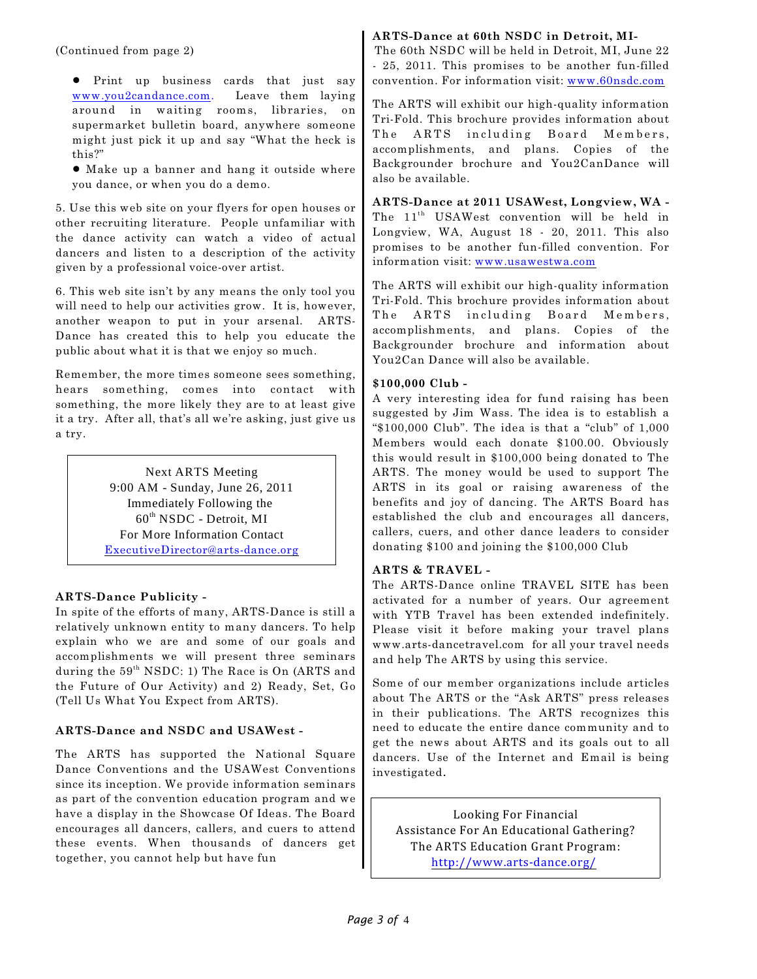(Continued from page 2)

! Print up business cards that just say www.you2candance.com. Leave them laying around in waiting rooms, libraries, on supermarket bulletin board, anywhere someone might just pick it up and say "What the heck is this?"

! Make up a banner and hang it outside where you dance, or when you do a demo.

5. Use this web site on your flyers for open houses or other recruiting literature. People unfamiliar with the dance activity can watch a video of actual dancers and listen to a description of the activity given by a professional voice-over artist.

6. This web site isn't by any means the only tool you will need to help our activities grow. It is, however, another weapon to put in your arsenal. ARTS-Dance has created this to help you educate the public about what it is that we enjoy so much.

Remember, the more times someone sees something, hears something, comes into contact with something, the more likely they are to at least give it a try. After all, that's all we're asking, just give us a try.

> Next ARTS Meeting 9:00 AM - Sunday, June 26, 2011 Immediately Following the  $60<sup>th</sup> NSDC$  - Detroit, MI For More Information Contact [ExecutiveDirector@arts-dance.org](mailto:ExecutiveDirector@arts-dance.org)

## **ARTS-Dance Publicity -**

In spite of the efforts of many, ARTS-Dance is still a relatively unknown entity to many dancers. To help explain who we are and some of our goals and accomplishments we will present three seminars during the  $59<sup>th</sup> NSDC: 1$ ) The Race is On (ARTS and the Future of Our Activity) and 2) Ready, Set, Go (Tell Us What You Expect from ARTS).

## **ARTS-Dance and NSDC and USAWest -**

The ARTS has supported the National Square Dance Conventions and the USAWest Conventions since its inception. We provide information seminars as part of the convention education program and we have a display in the Showcase Of Ideas. The Board encourages all dancers, callers, and cuers to attend these events. When thousands of dancers get together, you cannot help but have fun

## **ARTS-Dance at 60th NSDC in Detroit, MI-**

The 60th NSDC will be held in Detroit, MI, June 22 - 25, 2011. This promises to be another fun-filled convention. For information visit: [www.60nsdc.com](http://www.59nsdc.com)

The ARTS will exhibit our high-quality information Tri-Fold. This brochure provides information about The ARTS including Board Members, accomplishments, and plans. Copies of the Backgrounder brochure and You2CanDance will also be available.

**ARTS-Dance at 2011 USAWest, Longview, WA -** The 11<sup>th</sup> USAWest convention will be held in Longview, WA, August 18 - 20, 2011. This also promises to be another fun-filled convention. For information visit: [www.usawestwa.com](http://www.usawestwa.com)

The ARTS will exhibit our high-quality information Tri-Fold. This brochure provides information about The ARTS including Board Members, accomplishments, and plans. Copies of the Backgrounder brochure and information about You2Can Dance will also be available.

## **\$100,000 Club -**

A very interesting idea for fund raising has been suggested by Jim Wass. The idea is to establish a "\$100,000 Club". The idea is that a "club" of 1,000 Members would each donate \$100.00. Obviously this would result in \$100,000 being donated to The ARTS. The money would be used to support The ARTS in its goal or raising awareness of the benefits and joy of dancing. The ARTS Board has established the club and encourages all dancers, callers, cuers, and other dance leaders to consider donating \$100 and joining the \$100,000 Club

## **ARTS & TRAVEL -**

The ARTS-Dance online TRAVEL SITE has been activated for a number of years. Our agreement with YTB Travel has been extended indefinitely. Please visit it before making your travel plans www.arts-dancetravel.com for all your travel needs and help The ARTS by using this service.

Some of our member organizations include articles about The ARTS or the "Ask ARTS" press releases in their publications. The ARTS recognizes this need to educate the entire dance community and to get the news about ARTS and its goals out to all dancers. Use of the Internet and Email is being investigated*.*

Looking For Financial Assistance For An Educational Gathering? The ARTS Education Grant Program: <http://www.arts-dance.org/>